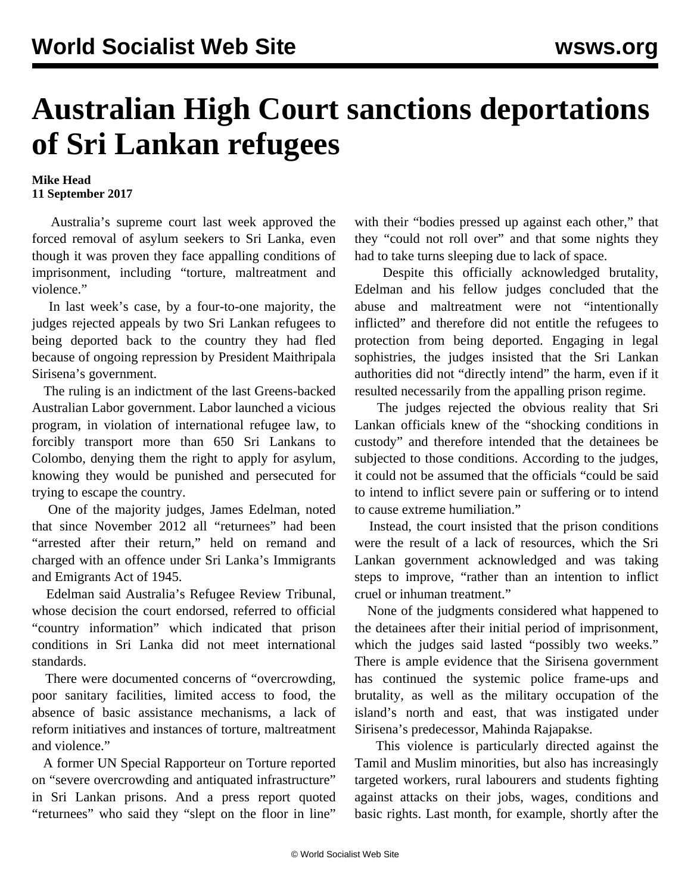## **Australian High Court sanctions deportations of Sri Lankan refugees**

## **Mike Head 11 September 2017**

 Australia's supreme court last week approved the forced removal of asylum seekers to Sri Lanka, even though it was proven they face appalling conditions of imprisonment, including "torture, maltreatment and violence."

 In last week's case, by a four-to-one majority, the judges rejected appeals by two Sri Lankan refugees to being deported back to the country they had fled because of ongoing repression by President Maithripala Sirisena's government.

 The ruling is an indictment of the last Greens-backed Australian Labor government. Labor launched a vicious program, in violation of international refugee law, to forcibly transport more than 650 Sri Lankans to Colombo, denying them the right to apply for asylum, knowing they would be punished and persecuted for trying to escape the country.

 One of the majority judges, James Edelman, noted that since November 2012 all "returnees" had been "arrested after their return," held on remand and charged with an offence under Sri Lanka's Immigrants and Emigrants Act of 1945.

 Edelman said Australia's Refugee Review Tribunal, whose decision the court endorsed, referred to official "country information" which indicated that prison conditions in Sri Lanka did not meet international standards.

 There were documented concerns of "overcrowding, poor sanitary facilities, limited access to food, the absence of basic assistance mechanisms, a lack of reform initiatives and instances of torture, maltreatment and violence."

 A former UN Special Rapporteur on Torture reported on "severe overcrowding and antiquated infrastructure" in Sri Lankan prisons. And a press report quoted "returnees" who said they "slept on the floor in line"

with their "bodies pressed up against each other," that they "could not roll over" and that some nights they had to take turns sleeping due to lack of space.

 Despite this officially acknowledged brutality, Edelman and his fellow judges concluded that the abuse and maltreatment were not "intentionally inflicted" and therefore did not entitle the refugees to protection from being deported. Engaging in legal sophistries, the judges insisted that the Sri Lankan authorities did not "directly intend" the harm, even if it resulted necessarily from the appalling prison regime.

 The judges rejected the obvious reality that Sri Lankan officials knew of the "shocking conditions in custody" and therefore intended that the detainees be subjected to those conditions. According to the judges, it could not be assumed that the officials "could be said to intend to inflict severe pain or suffering or to intend to cause extreme humiliation."

 Instead, the court insisted that the prison conditions were the result of a lack of resources, which the Sri Lankan government acknowledged and was taking steps to improve, "rather than an intention to inflict cruel or inhuman treatment."

 None of the judgments considered what happened to the detainees after their initial period of imprisonment, which the judges said lasted "possibly two weeks." There is ample evidence that the Sirisena government has continued the systemic police frame-ups and brutality, as well as the military occupation of the island's north and east, that was instigated under Sirisena's predecessor, Mahinda Rajapakse.

 This violence is particularly directed against the Tamil and Muslim minorities, but also has increasingly targeted workers, rural labourers and students fighting against attacks on their jobs, wages, conditions and basic rights. Last month, for example, shortly after the